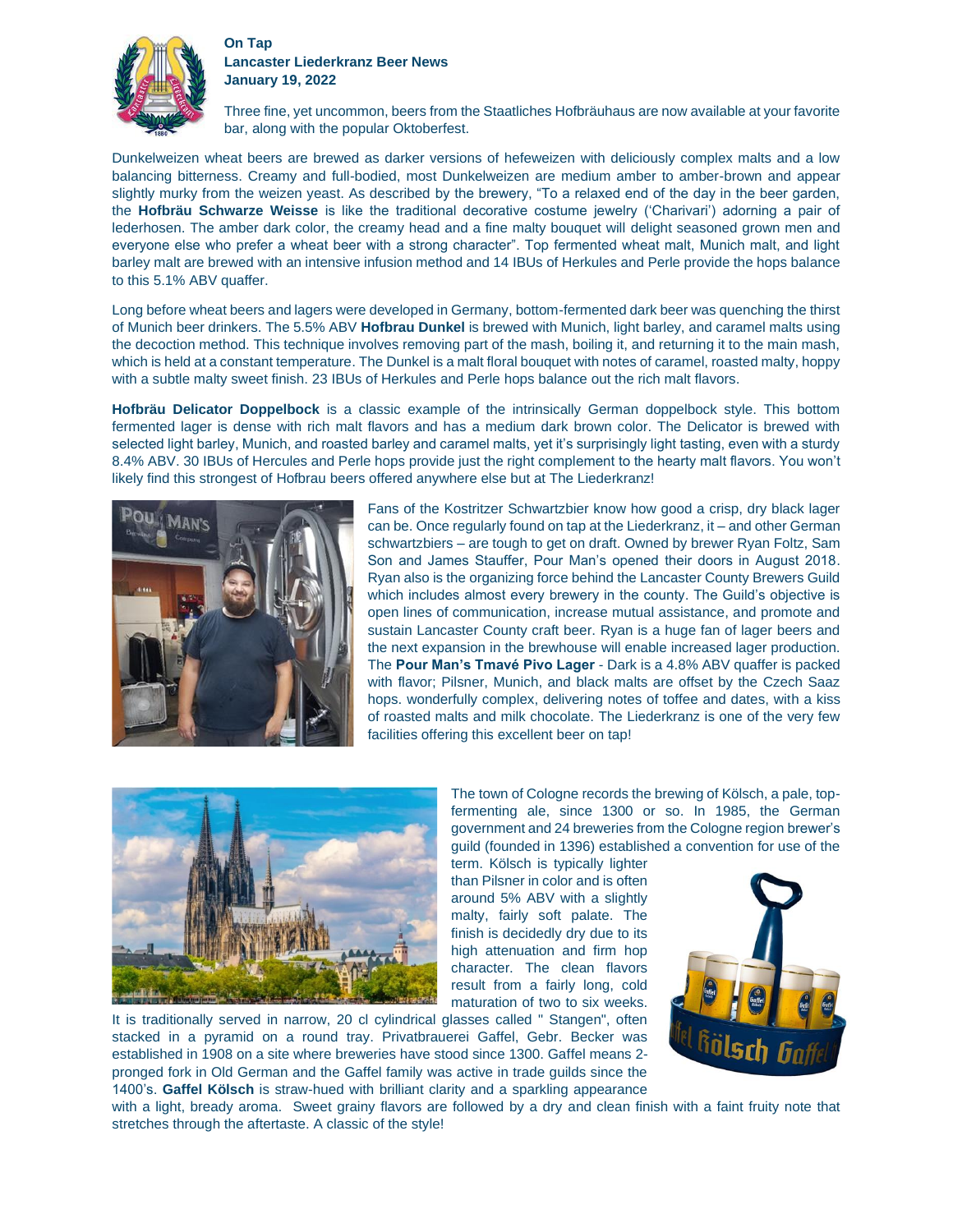

## **On Tap Lancaster Liederkranz Beer News January 19, 2022**

Three fine, yet uncommon, beers from the Staatliches Hofbräuhaus are now available at your favorite bar, along with the popular Oktoberfest.

Dunkelweizen wheat beers are brewed as darker versions of hefeweizen with deliciously complex malts and a low balancing bitterness. Creamy and full-bodied, most Dunkelweizen are medium amber to amber-brown and appear slightly murky from the weizen yeast. As described by the brewery, "To a relaxed end of the day in the beer garden, the **Hofbräu Schwarze Weisse** is like the traditional decorative costume jewelry ('Charivari') adorning a pair of lederhosen. The amber dark color, the creamy head and a fine malty bouquet will delight seasoned grown men and everyone else who prefer a wheat beer with a strong character". Top fermented wheat malt, Munich malt, and light barley malt are brewed with an intensive infusion method and 14 IBUs of Herkules and Perle provide the hops balance to this 5.1% ABV quaffer.

Long before wheat beers and lagers were developed in Germany, bottom-fermented dark beer was quenching the thirst of Munich beer drinkers. The 5.5% ABV **Hofbrau Dunkel** is brewed with Munich, light barley, and caramel malts using the decoction method. This technique involves removing part of the mash, boiling it, and returning it to the main mash, which is held at a constant temperature. The Dunkel is a malt floral bouquet with notes of caramel, roasted malty, hoppy with a subtle malty sweet finish. 23 IBUs of Herkules and Perle hops balance out the rich malt flavors.

**Hofbräu Delicator Doppelbock** is a classic example of the intrinsically German doppelbock style. This bottom fermented lager is dense with rich malt flavors and has a medium dark brown color. The Delicator is brewed with selected light barley, Munich, and roasted barley and caramel malts, yet it's surprisingly light tasting, even with a sturdy 8.4% ABV. 30 IBUs of Hercules and Perle hops provide just the right complement to the hearty malt flavors. You won't likely find this strongest of Hofbrau beers offered anywhere else but at The Liederkranz!



Fans of the Kostritzer Schwartzbier know how good a crisp, dry black lager can be. Once regularly found on tap at the Liederkranz, it – and other German schwartzbiers – are tough to get on draft. Owned by brewer Ryan Foltz, Sam Son and James Stauffer, Pour Man's opened their doors in August 2018. Ryan also is the organizing force behind the Lancaster County Brewers Guild which includes almost every brewery in the county. The Guild's objective is open lines of communication, increase mutual assistance, and promote and sustain Lancaster County craft beer. Ryan is a huge fan of lager beers and the next expansion in the brewhouse will enable increased lager production. The **Pour Man's Tmavé Pivo Lager** - Dark is a 4.8% ABV quaffer is packed with flavor; Pilsner, Munich, and black malts are offset by the Czech Saaz hops. wonderfully complex, delivering notes of toffee and dates, with a kiss of roasted malts and milk chocolate. The Liederkranz is one of the very few facilities offering this excellent beer on tap!



The town of Cologne records the brewing of Kölsch, a pale, topfermenting ale, since 1300 or so. In 1985, the German government and 24 breweries from the Cologne region brewer's guild (founded in 1396) established a convention for use of the

term. Kölsch is typically lighter than Pilsner in color and is often around 5% ABV with a slightly malty, fairly soft palate. The finish is decidedly dry due to its high attenuation and firm hop character. The clean flavors result from a fairly long, cold maturation of two to six weeks.

It is traditionally served in narrow, 20 cl cylindrical glasses called " Stangen", often stacked in a pyramid on a round tray. Privatbrauerei Gaffel, Gebr. Becker was established in 1908 on a site where breweries have stood since 1300. Gaffel means 2 pronged fork in Old German and the Gaffel family was active in trade guilds since the 1400's. **Gaffel Kölsch** is straw-hued with brilliant clarity and a sparkling appearance



with a light, bready aroma. Sweet grainy flavors are followed by a dry and clean finish with a faint fruity note that stretches through the aftertaste. A classic of the style!